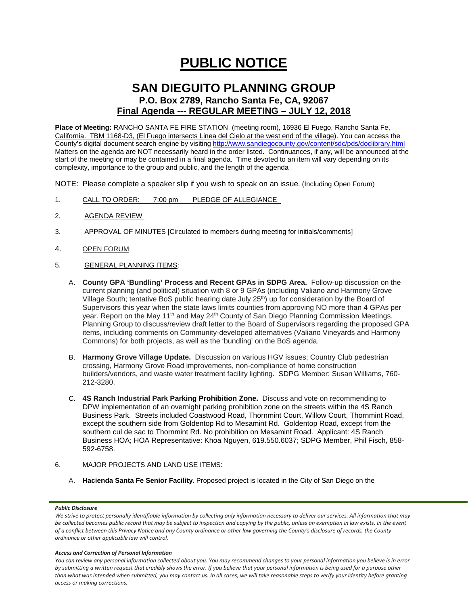# **PUBLIC NOTICE**

# **SAN DIEGUITO PLANNING GROUP P.O. Box 2789, Rancho Santa Fe, CA, 92067 Final Agenda --- REGULAR MEETING – JULY 12, 2018**

**Place of Meeting:** RANCHO SANTA FE FIRE STATION (meeting room), 16936 El Fuego, Rancho Santa Fe, California. TBM 1168-D3, (El Fuego intersects Linea del Cielo at the west end of the village). You can access the County's digital document search engine by visitin[g http://www.sandiegocounty.gov/content/sdc/pds/doclibrary.html](http://www.sandiegocounty.gov/content/sdc/pds/doclibrary.html) Matters on the agenda are NOT necessarily heard in the order listed. Continuances, if any, will be announced at the start of the meeting or may be contained in a final agenda. Time devoted to an item will vary depending on its complexity, importance to the group and public, and the length of the agenda

NOTE: Please complete a speaker slip if you wish to speak on an issue. (Including Open Forum)

- 1. CALL TO ORDER: 7:00 pm PLEDGE OF ALLEGIANCE
- 2. AGENDA REVIEW
- 3. APPROVAL OF MINUTES [Circulated to members during meeting for initials/comments]
- 4. OPEN FORUM:
- 5. GENERAL PLANNING ITEMS:
	- A. **County GPA 'Bundling' Process and Recent GPAs in SDPG Area.** Follow-up discussion on the current planning (and political) situation with 8 or 9 GPAs (including Valiano and Harmony Grove Village South; tentative BoS public hearing date July 25<sup>th</sup>) up for consideration by the Board of Supervisors this year when the state laws limits counties from approving NO more than 4 GPAs per year. Report on the May 11<sup>th</sup> and May 24<sup>th</sup> County of San Diego Planning Commission Meetings. Planning Group to discuss/review draft letter to the Board of Supervisors regarding the proposed GPA items, including comments on Community-developed alternatives (Valiano Vineyards and Harmony Commons) for both projects, as well as the 'bundling' on the BoS agenda.
	- B. **Harmony Grove Village Update.** Discussion on various HGV issues; Country Club pedestrian crossing, Harmony Grove Road improvements, non-compliance of home construction builders/vendors, and waste water treatment facility lighting. SDPG Member: Susan Williams, 760- 212-3280.
	- C. **4S Ranch Industrial Park Parking Prohibition Zone.** Discuss and vote on recommending to DPW implementation of an overnight parking prohibition zone on the streets within the 4S Ranch Business Park. Streets included Coastwood Road, Thornmint Court, Willow Court, Thornmint Road, except the southern side from Goldentop Rd to Mesamint Rd. Goldentop Road, except from the southern cul de sac to Thornmint Rd. No prohibition on Mesamint Road. Applicant: 4S Ranch Business HOA; HOA Representative: Khoa Nguyen, 619.550.6037; SDPG Member, Phil Fisch, 858- 592-6758.

### 6. MAJOR PROJECTS AND LAND USE ITEMS:

A. **Hacienda Santa Fe Senior Facility**. Proposed project is located in the City of San Diego on the

#### *Public Disclosure*

#### *Access and Correction of Personal Information*

*You can review any personal information collected about you. You may recommend changes to your personal information you believe is in error by submitting a written request that credibly shows the error. If you believe that your personal information is being used for a purpose other than what was intended when submitted, you may contact us. In all cases, we will take reasonable steps to verify your identity before granting access or making corrections.*

*We strive to protect personally identifiable information by collecting only information necessary to deliver our services. All information that may be collected becomes public record that may be subject to inspection and copying by the public, unless an exemption in law exists. In the event of a conflict between this Privacy Notice and any County ordinance or other law governing the County's disclosure of records, the County ordinance or other applicable law will control.*